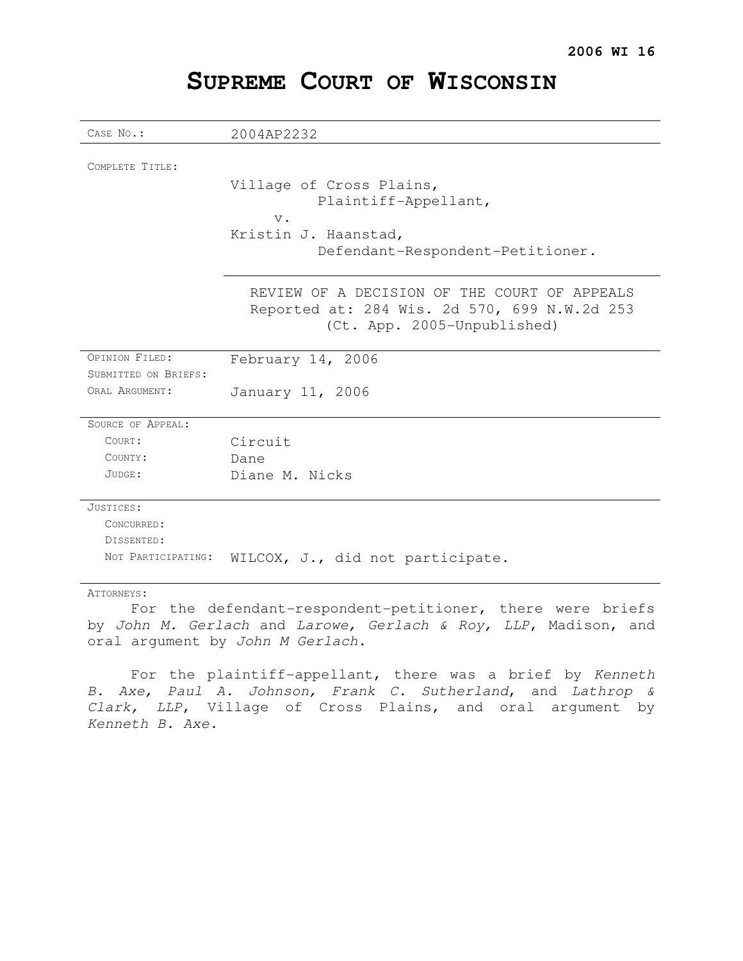| CASE No.:            |                                                                                                                             |
|----------------------|-----------------------------------------------------------------------------------------------------------------------------|
|                      | 2004AP2232                                                                                                                  |
| COMPLETE TITLE:      |                                                                                                                             |
|                      | Village of Cross Plains,<br>Plaintiff-Appellant,                                                                            |
|                      | $\mathbf v$ .                                                                                                               |
|                      | Kristin J. Haanstad,                                                                                                        |
|                      | Defendant-Respondent-Petitioner.                                                                                            |
|                      |                                                                                                                             |
|                      | REVIEW OF A DECISION OF THE COURT OF APPEALS<br>Reported at: 284 Wis. 2d 570, 699 N.W.2d 253<br>(Ct. App. 2005-Unpublished) |
|                      |                                                                                                                             |
| OPINION FILED:       | February 14, 2006                                                                                                           |
| SUBMITTED ON BRIEFS: |                                                                                                                             |
| ORAL ARGUMENT:       | January 11, 2006                                                                                                            |
| SOURCE OF APPEAL:    |                                                                                                                             |
| COURT:               | Circuit                                                                                                                     |
| COUNTY:              | Dane                                                                                                                        |
| JUDGE:               | Diane M. Nicks                                                                                                              |
|                      |                                                                                                                             |
| JUSTICES:            |                                                                                                                             |
| CONCURRED:           |                                                                                                                             |
| DISSENTED:           |                                                                                                                             |
| NOT PARTICIPATING:   | WILCOX, J., did not participate.                                                                                            |
| ATTORNEYS:           |                                                                                                                             |

# For the defendant-respondent-petitioner, there were briefs by John M. Gerlach and Larowe, Gerlach & Roy, LLP, Madison, and oral argument by John M Gerlach.

For the plaintiff-appellant, there was a brief by Kenneth B. Axe, Paul A. Johnson, Frank C. Sutherland, and Lathrop & Clark, LLP, Village of Cross Plains, and oral argument by Kenneth B. Axe.

# **SUPREME COURT OF WISCONSIN**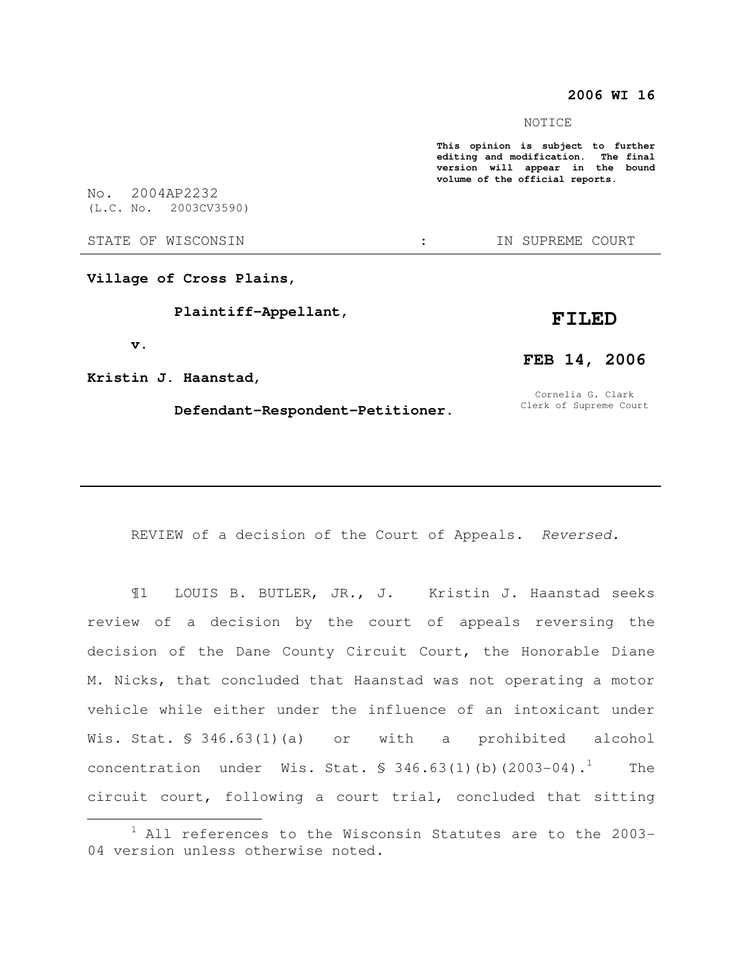## **2006 WI 16**

#### NOTICE

**This opinion is subject to further editing and modification. The final version will appear in the bound volume of the official reports.**  No. 2004AP2232 (L.C. No. 2003CV3590) STATE OF WISCONSIN THE STATE OF WISCONSIN THE STATE OF STATE OF STATE OF STATE OF STATE OF STATE OF STATE OF STATE OF STATE OF STATE OF STATE OF STATE OF STATE OF STATE OF STATE OF STATE OF STATE OF STATE OF STATE OF STATE **Village of Cross Plains, Plaintiff-Appellant, v. FILED** 

**Kristin J. Haanstad,** 

 $\overline{a}$ 

 **Defendant-Respondent-Petitioner.** 

## **FEB 14, 2006**

Cornelia G. Clark Clerk of Supreme Court

REVIEW of a decision of the Court of Appeals. Reversed.

¶1 LOUIS B. BUTLER, JR., J. Kristin J. Haanstad seeks review of a decision by the court of appeals reversing the decision of the Dane County Circuit Court, the Honorable Diane M. Nicks, that concluded that Haanstad was not operating a motor vehicle while either under the influence of an intoxicant under Wis. Stat. § 346.63(1)(a) or with a prohibited alcohol concentration under Wis. Stat.  $$346.63(1)(b)(2003-04).$ <sup>1</sup> The circuit court, following a court trial, concluded that sitting

 $1$  All references to the Wisconsin Statutes are to the 2003-04 version unless otherwise noted.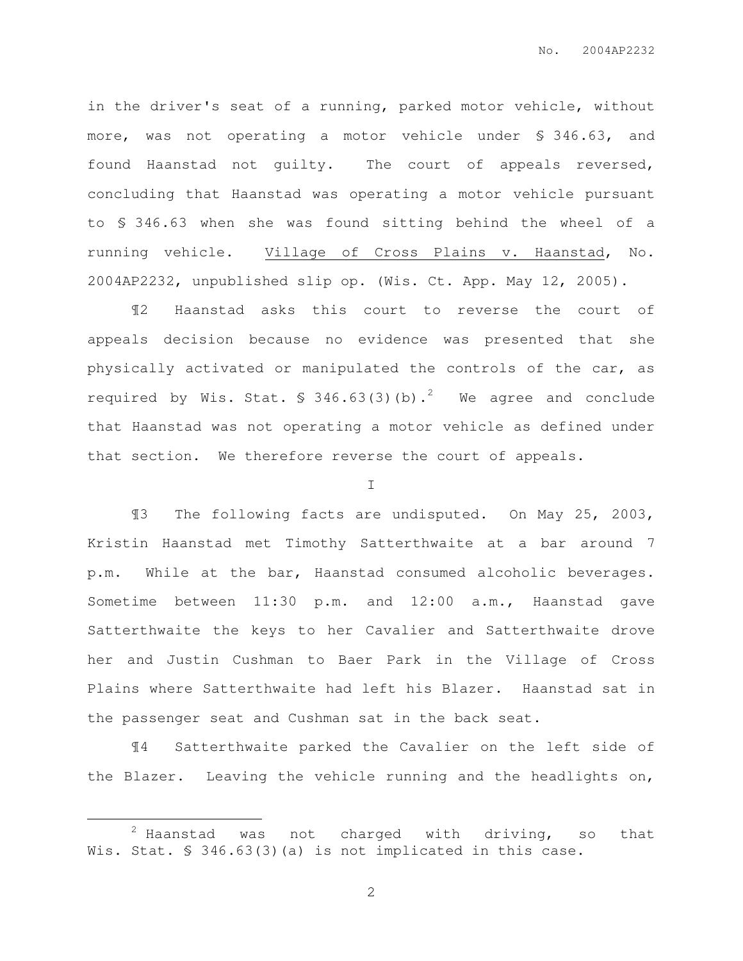in the driver's seat of a running, parked motor vehicle, without more, was not operating a motor vehicle under § 346.63, and found Haanstad not guilty. The court of appeals reversed, concluding that Haanstad was operating a motor vehicle pursuant to § 346.63 when she was found sitting behind the wheel of a running vehicle. Village of Cross Plains v. Haanstad, No. 2004AP2232, unpublished slip op. (Wis. Ct. App. May 12, 2005).

¶2 Haanstad asks this court to reverse the court of appeals decision because no evidence was presented that she physically activated or manipulated the controls of the car, as required by Wis. Stat.  $\frac{1}{2}$  346.63(3)(b).<sup>2</sup> We agree and conclude that Haanstad was not operating a motor vehicle as defined under that section. We therefore reverse the court of appeals.

I

¶3 The following facts are undisputed. On May 25, 2003, Kristin Haanstad met Timothy Satterthwaite at a bar around 7 p.m. While at the bar, Haanstad consumed alcoholic beverages. Sometime between 11:30 p.m. and 12:00 a.m., Haanstad gave Satterthwaite the keys to her Cavalier and Satterthwaite drove her and Justin Cushman to Baer Park in the Village of Cross Plains where Satterthwaite had left his Blazer. Haanstad sat in the passenger seat and Cushman sat in the back seat.

¶4 Satterthwaite parked the Cavalier on the left side of the Blazer. Leaving the vehicle running and the headlights on,

 $\overline{a}$ 

 $2$  Haanstad was not charged with driving, so that Wis. Stat. § 346.63(3)(a) is not implicated in this case.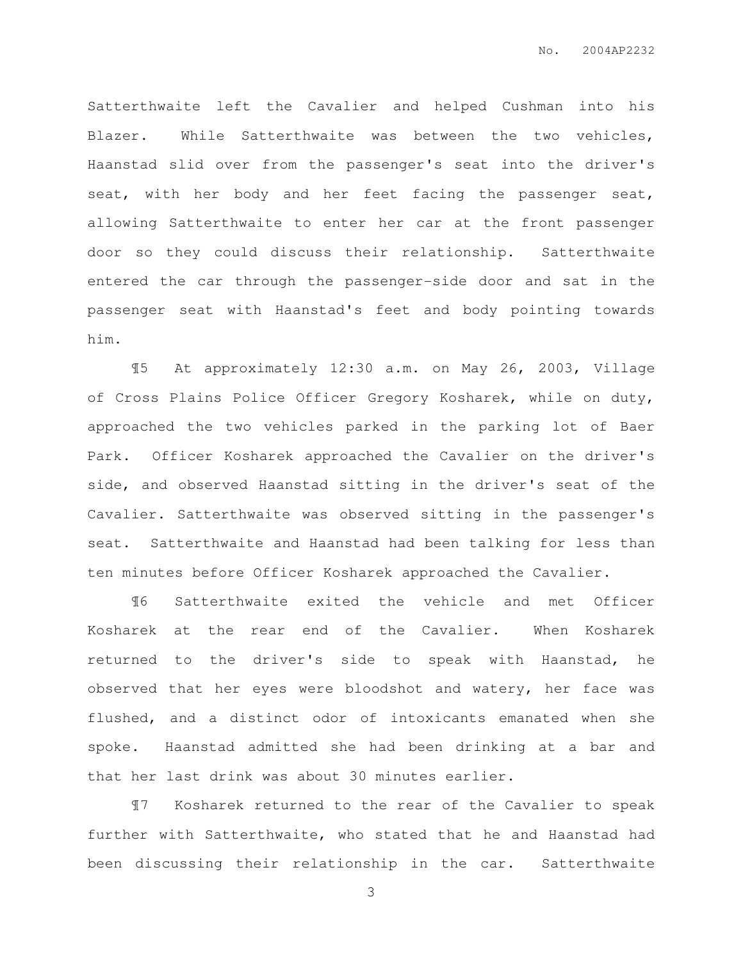Satterthwaite left the Cavalier and helped Cushman into his Blazer. While Satterthwaite was between the two vehicles, Haanstad slid over from the passenger's seat into the driver's seat, with her body and her feet facing the passenger seat, allowing Satterthwaite to enter her car at the front passenger door so they could discuss their relationship. Satterthwaite entered the car through the passenger-side door and sat in the passenger seat with Haanstad's feet and body pointing towards him.

¶5 At approximately 12:30 a.m. on May 26, 2003, Village of Cross Plains Police Officer Gregory Kosharek, while on duty, approached the two vehicles parked in the parking lot of Baer Park. Officer Kosharek approached the Cavalier on the driver's side, and observed Haanstad sitting in the driver's seat of the Cavalier. Satterthwaite was observed sitting in the passenger's seat. Satterthwaite and Haanstad had been talking for less than ten minutes before Officer Kosharek approached the Cavalier.

¶6 Satterthwaite exited the vehicle and met Officer Kosharek at the rear end of the Cavalier. When Kosharek returned to the driver's side to speak with Haanstad, he observed that her eyes were bloodshot and watery, her face was flushed, and a distinct odor of intoxicants emanated when she spoke. Haanstad admitted she had been drinking at a bar and that her last drink was about 30 minutes earlier.

¶7 Kosharek returned to the rear of the Cavalier to speak further with Satterthwaite, who stated that he and Haanstad had been discussing their relationship in the car. Satterthwaite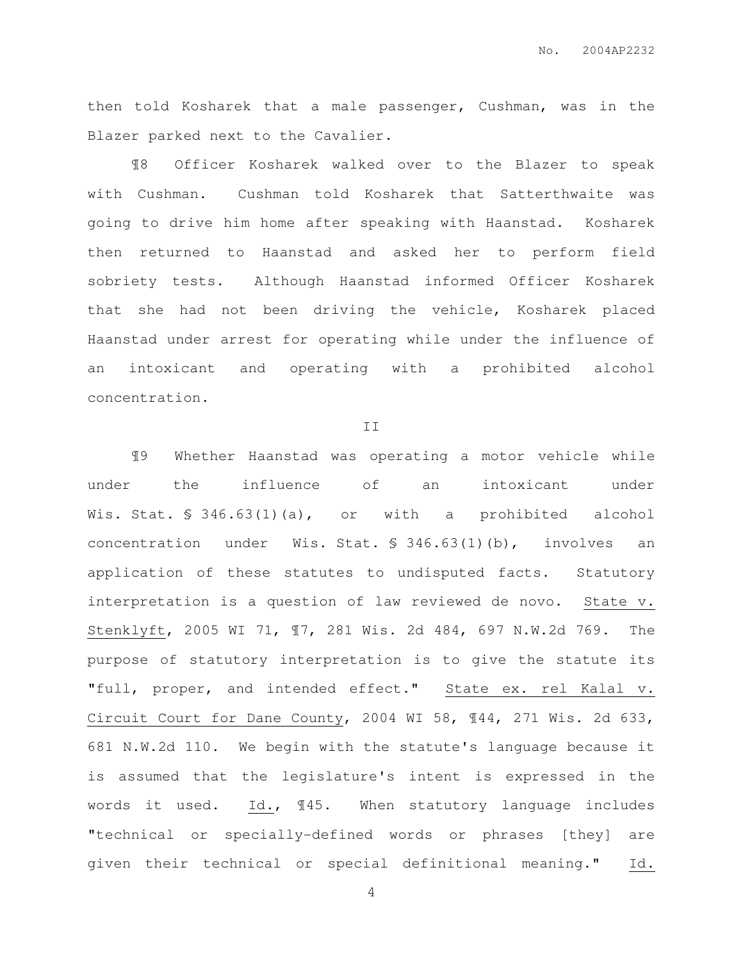then told Kosharek that a male passenger, Cushman, was in the Blazer parked next to the Cavalier.

¶8 Officer Kosharek walked over to the Blazer to speak with Cushman. Cushman told Kosharek that Satterthwaite was going to drive him home after speaking with Haanstad. Kosharek then returned to Haanstad and asked her to perform field sobriety tests. Although Haanstad informed Officer Kosharek that she had not been driving the vehicle, Kosharek placed Haanstad under arrest for operating while under the influence of an intoxicant and operating with a prohibited alcohol concentration.

II

¶9 Whether Haanstad was operating a motor vehicle while under the influence of an intoxicant under Wis. Stat. § 346.63(1)(a), or with a prohibited alcohol concentration under Wis. Stat. § 346.63(1)(b), involves an application of these statutes to undisputed facts. Statutory interpretation is a question of law reviewed de novo. State v. Stenklyft, 2005 WI 71, ¶7, 281 Wis. 2d 484, 697 N.W.2d 769. The purpose of statutory interpretation is to give the statute its "full, proper, and intended effect." State ex. rel Kalal v. Circuit Court for Dane County, 2004 WI 58, ¶44, 271 Wis. 2d 633, 681 N.W.2d 110. We begin with the statute's language because it is assumed that the legislature's intent is expressed in the words it used. Id., ¶45. When statutory language includes "technical or specially-defined words or phrases [they] are given their technical or special definitional meaning." Id.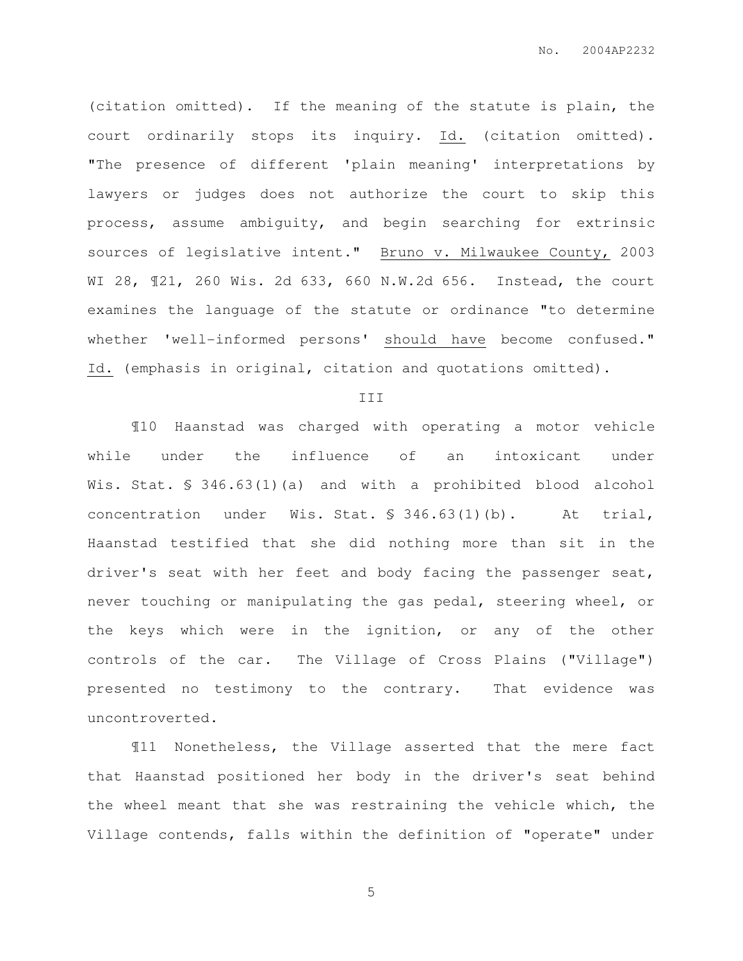(citation omitted). If the meaning of the statute is plain, the court ordinarily stops its inquiry. Id. (citation omitted). "The presence of different 'plain meaning' interpretations by lawyers or judges does not authorize the court to skip this process, assume ambiguity, and begin searching for extrinsic sources of legislative intent." Bruno v. Milwaukee County, 2003 WI 28, ¶21, 260 Wis. 2d 633, 660 N.W.2d 656. Instead, the court examines the language of the statute or ordinance "to determine whether 'well-informed persons' should have become confused." Id. (emphasis in original, citation and quotations omitted).

#### III

¶10 Haanstad was charged with operating a motor vehicle while under the influence of an intoxicant under Wis. Stat. § 346.63(1)(a) and with a prohibited blood alcohol concentration under Wis. Stat. § 346.63(1)(b). At trial, Haanstad testified that she did nothing more than sit in the driver's seat with her feet and body facing the passenger seat, never touching or manipulating the gas pedal, steering wheel, or the keys which were in the ignition, or any of the other controls of the car. The Village of Cross Plains ("Village") presented no testimony to the contrary. That evidence was uncontroverted.

¶11 Nonetheless, the Village asserted that the mere fact that Haanstad positioned her body in the driver's seat behind the wheel meant that she was restraining the vehicle which, the Village contends, falls within the definition of "operate" under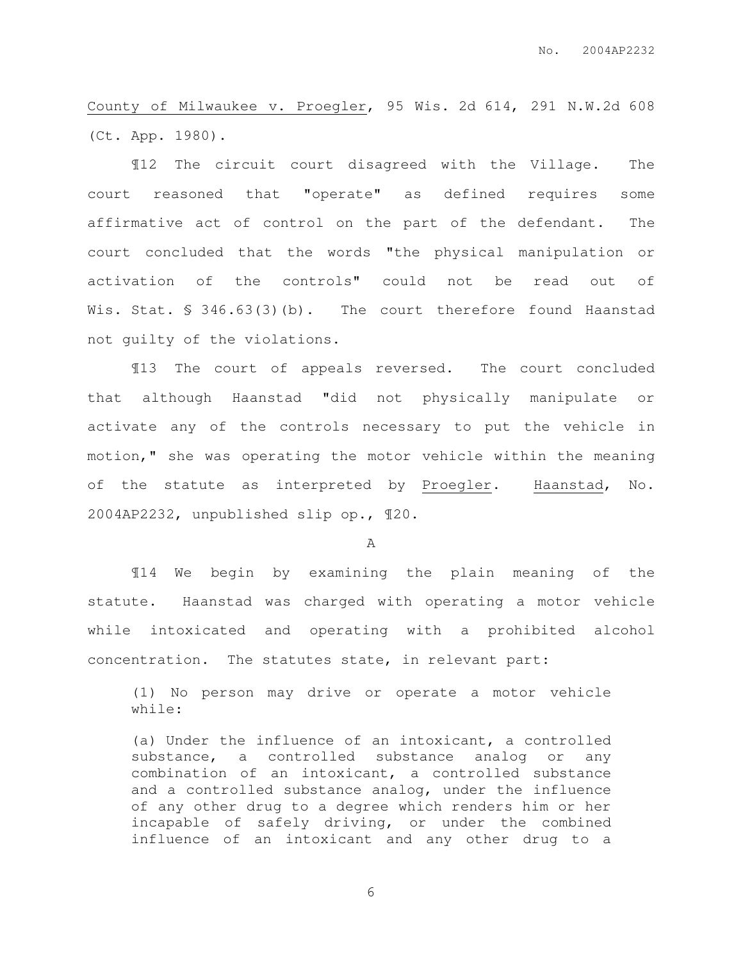County of Milwaukee v. Proegler, 95 Wis. 2d 614, 291 N.W.2d 608 (Ct. App. 1980).

¶12 The circuit court disagreed with the Village. The court reasoned that "operate" as defined requires some affirmative act of control on the part of the defendant. The court concluded that the words "the physical manipulation or activation of the controls" could not be read out of Wis. Stat. § 346.63(3)(b). The court therefore found Haanstad not guilty of the violations.

¶13 The court of appeals reversed. The court concluded that although Haanstad "did not physically manipulate or activate any of the controls necessary to put the vehicle in motion," she was operating the motor vehicle within the meaning of the statute as interpreted by Proegler. Haanstad, No. 2004AP2232, unpublished slip op., ¶20.

A

¶14 We begin by examining the plain meaning of the statute. Haanstad was charged with operating a motor vehicle while intoxicated and operating with a prohibited alcohol concentration. The statutes state, in relevant part:

(1) No person may drive or operate a motor vehicle while:

(a) Under the influence of an intoxicant, a controlled substance, a controlled substance analog or any combination of an intoxicant, a controlled substance and a controlled substance analog, under the influence of any other drug to a degree which renders him or her incapable of safely driving, or under the combined influence of an intoxicant and any other drug to a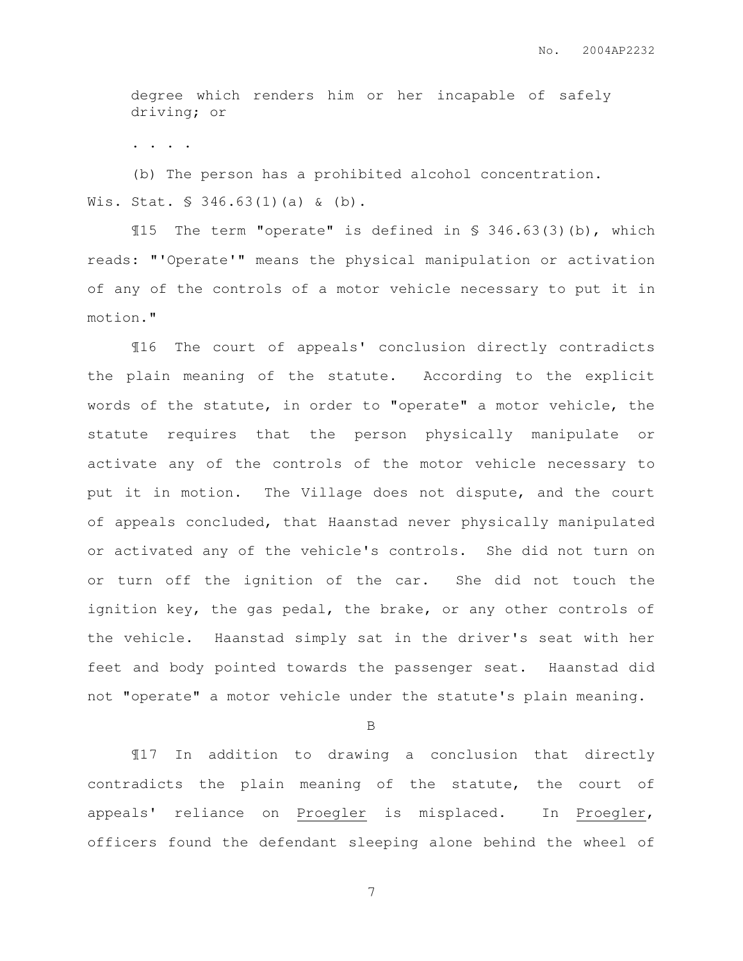degree which renders him or her incapable of safely driving; or

. . . .

(b) The person has a prohibited alcohol concentration. Wis. Stat. § 346.63(1)(a) & (b).

¶15 The term "operate" is defined in § 346.63(3)(b), which reads: "'Operate'" means the physical manipulation or activation of any of the controls of a motor vehicle necessary to put it in motion."

¶16 The court of appeals' conclusion directly contradicts the plain meaning of the statute. According to the explicit words of the statute, in order to "operate" a motor vehicle, the statute requires that the person physically manipulate or activate any of the controls of the motor vehicle necessary to put it in motion. The Village does not dispute, and the court of appeals concluded, that Haanstad never physically manipulated or activated any of the vehicle's controls. She did not turn on or turn off the ignition of the car. She did not touch the ignition key, the gas pedal, the brake, or any other controls of the vehicle. Haanstad simply sat in the driver's seat with her feet and body pointed towards the passenger seat. Haanstad did not "operate" a motor vehicle under the statute's plain meaning.

B

¶17 In addition to drawing a conclusion that directly contradicts the plain meaning of the statute, the court of appeals' reliance on Proegler is misplaced. In Proegler, officers found the defendant sleeping alone behind the wheel of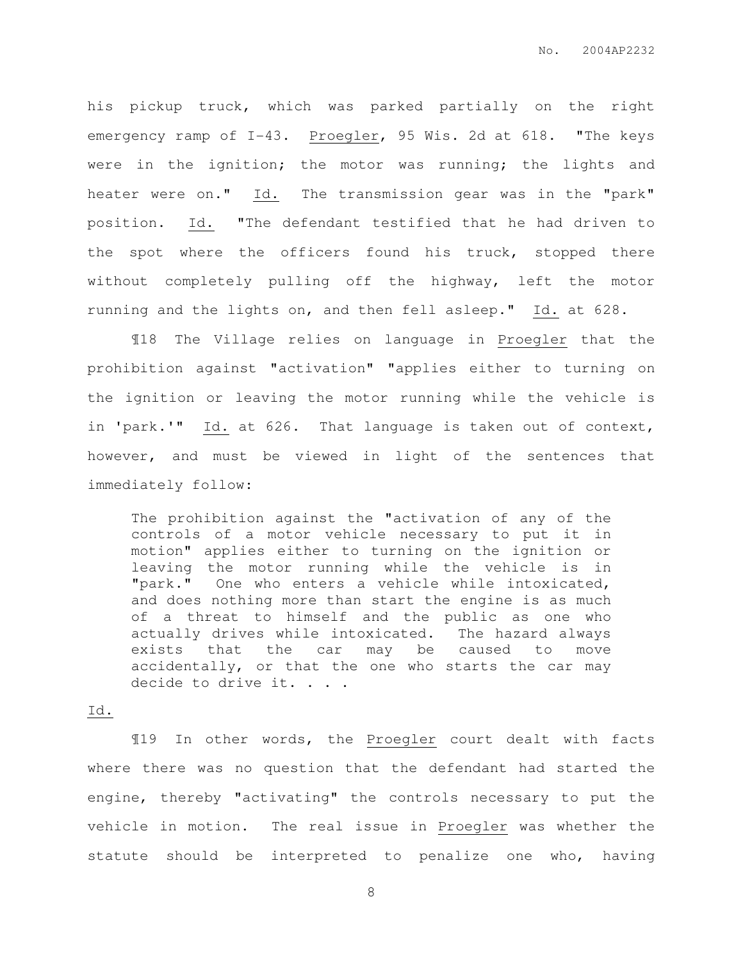his pickup truck, which was parked partially on the right emergency ramp of I-43. Proegler, 95 Wis. 2d at 618. "The keys were in the ignition; the motor was running; the lights and heater were on." Id. The transmission gear was in the "park" position. Id. "The defendant testified that he had driven to the spot where the officers found his truck, stopped there without completely pulling off the highway, left the motor running and the lights on, and then fell asleep." Id. at 628.

¶18 The Village relies on language in Proegler that the prohibition against "activation" "applies either to turning on the ignition or leaving the motor running while the vehicle is in 'park.'" Id. at 626. That language is taken out of context, however, and must be viewed in light of the sentences that immediately follow:

The prohibition against the "activation of any of the controls of a motor vehicle necessary to put it in motion" applies either to turning on the ignition or leaving the motor running while the vehicle is in "park." One who enters a vehicle while intoxicated, and does nothing more than start the engine is as much of a threat to himself and the public as one who actually drives while intoxicated. The hazard always exists that the car may be caused to move accidentally, or that the one who starts the car may decide to drive it. . . .

#### Id.

¶19 In other words, the Proegler court dealt with facts where there was no question that the defendant had started the engine, thereby "activating" the controls necessary to put the vehicle in motion. The real issue in Proegler was whether the statute should be interpreted to penalize one who, having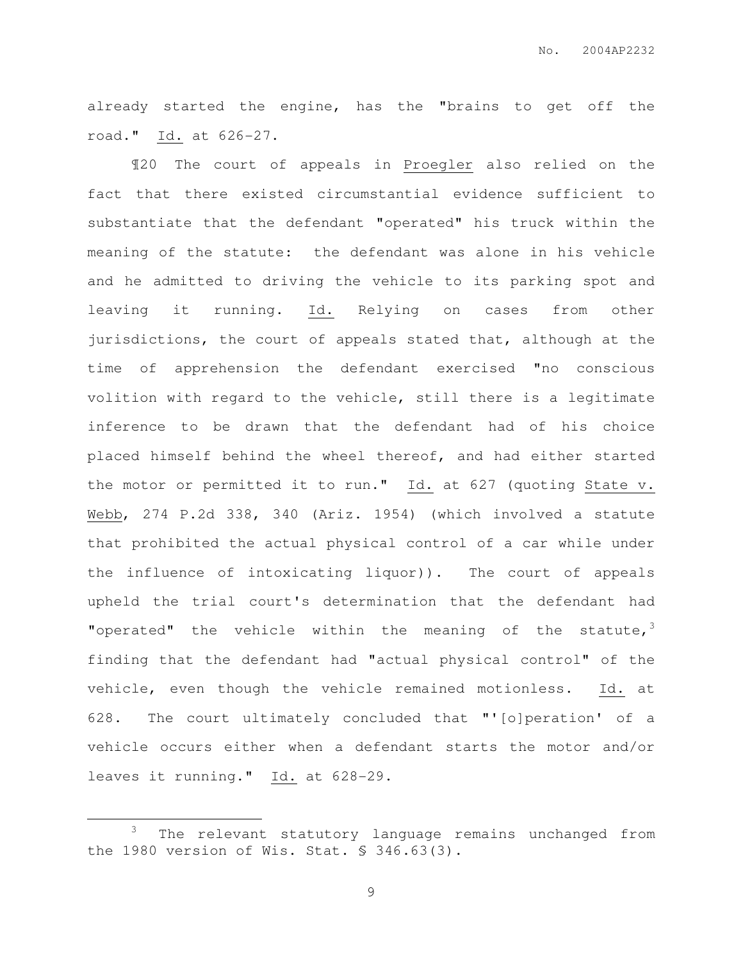already started the engine, has the "brains to get off the road." Id. at 626-27.

¶20 The court of appeals in Proegler also relied on the fact that there existed circumstantial evidence sufficient to substantiate that the defendant "operated" his truck within the meaning of the statute: the defendant was alone in his vehicle and he admitted to driving the vehicle to its parking spot and leaving it running. Id. Relying on cases from other jurisdictions, the court of appeals stated that, although at the time of apprehension the defendant exercised "no conscious volition with regard to the vehicle, still there is a legitimate inference to be drawn that the defendant had of his choice placed himself behind the wheel thereof, and had either started the motor or permitted it to run." Id. at 627 (quoting State v. Webb, 274 P.2d 338, 340 (Ariz. 1954) (which involved a statute that prohibited the actual physical control of a car while under the influence of intoxicating liquor)). The court of appeals upheld the trial court's determination that the defendant had "operated" the vehicle within the meaning of the statute, $3$ finding that the defendant had "actual physical control" of the vehicle, even though the vehicle remained motionless. Id. at 628. The court ultimately concluded that "'[o]peration' of a vehicle occurs either when a defendant starts the motor and/or leaves it running." Id. at 628-29.

 $\overline{a}$ 

<sup>&</sup>lt;sup>3</sup> The relevant statutory language remains unchanged from the 1980 version of Wis. Stat. § 346.63(3).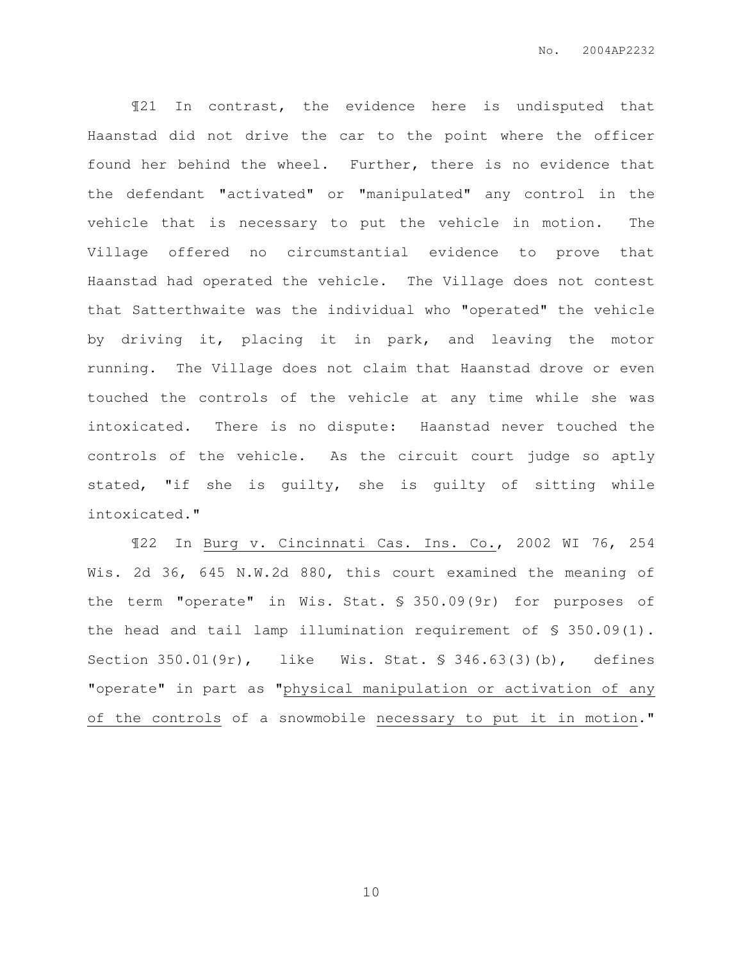¶21 In contrast, the evidence here is undisputed that Haanstad did not drive the car to the point where the officer found her behind the wheel. Further, there is no evidence that the defendant "activated" or "manipulated" any control in the vehicle that is necessary to put the vehicle in motion. The Village offered no circumstantial evidence to prove that Haanstad had operated the vehicle. The Village does not contest that Satterthwaite was the individual who "operated" the vehicle by driving it, placing it in park, and leaving the motor running. The Village does not claim that Haanstad drove or even touched the controls of the vehicle at any time while she was intoxicated. There is no dispute: Haanstad never touched the controls of the vehicle. As the circuit court judge so aptly stated, "if she is guilty, she is guilty of sitting while intoxicated."

¶22 In Burg v. Cincinnati Cas. Ins. Co., 2002 WI 76, 254 Wis. 2d 36, 645 N.W.2d 880, this court examined the meaning of the term "operate" in Wis. Stat. § 350.09(9r) for purposes of the head and tail lamp illumination requirement of § 350.09(1). Section 350.01(9r), like Wis. Stat. § 346.63(3)(b), defines "operate" in part as "physical manipulation or activation of any of the controls of a snowmobile necessary to put it in motion."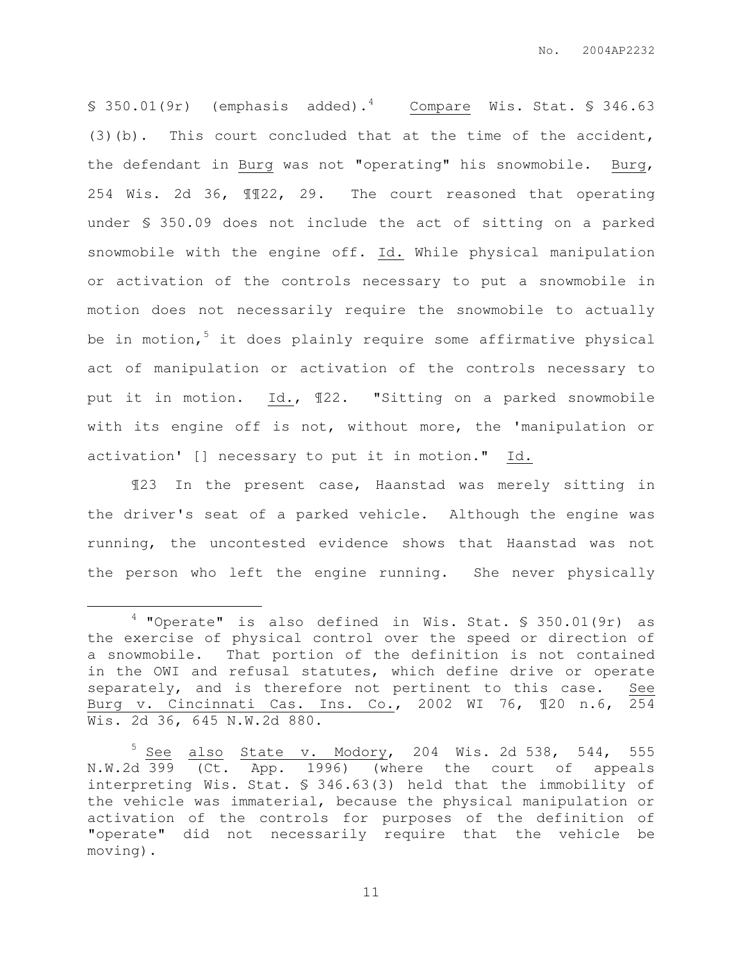$\S$  350.01(9r) (emphasis added).<sup>4</sup> Compare Wis. Stat.  $\S$  346.63 (3)(b). This court concluded that at the time of the accident, the defendant in Burg was not "operating" his snowmobile. Burg, 254 Wis. 2d 36, ¶¶22, 29. The court reasoned that operating under § 350.09 does not include the act of sitting on a parked snowmobile with the engine off. Id. While physical manipulation or activation of the controls necessary to put a snowmobile in motion does not necessarily require the snowmobile to actually be in motion, $5$  it does plainly require some affirmative physical act of manipulation or activation of the controls necessary to put it in motion. Id., ¶22. "Sitting on a parked snowmobile with its engine off is not, without more, the 'manipulation or activation' [] necessary to put it in motion." Id.

¶23 In the present case, Haanstad was merely sitting in the driver's seat of a parked vehicle. Although the engine was running, the uncontested evidence shows that Haanstad was not the person who left the engine running. She never physically

 $\overline{a}$ 

 $4$  "Operate" is also defined in Wis. Stat. § 350.01(9r) as the exercise of physical control over the speed or direction of a snowmobile. That portion of the definition is not contained in the OWI and refusal statutes, which define drive or operate separately, and is therefore not pertinent to this case. See Burg v. Cincinnati Cas. Ins. Co., 2002 WI 76, ¶20 n.6, 254 Wis. 2d 36, 645 N.W.2d 880.

 $5$  See also State v. Modory, 204 Wis. 2d 538, 544, 555 N.W.2d 399 (Ct. App. 1996) (where the court of appeals interpreting Wis. Stat. § 346.63(3) held that the immobility of the vehicle was immaterial, because the physical manipulation or activation of the controls for purposes of the definition of "operate" did not necessarily require that the vehicle be moving).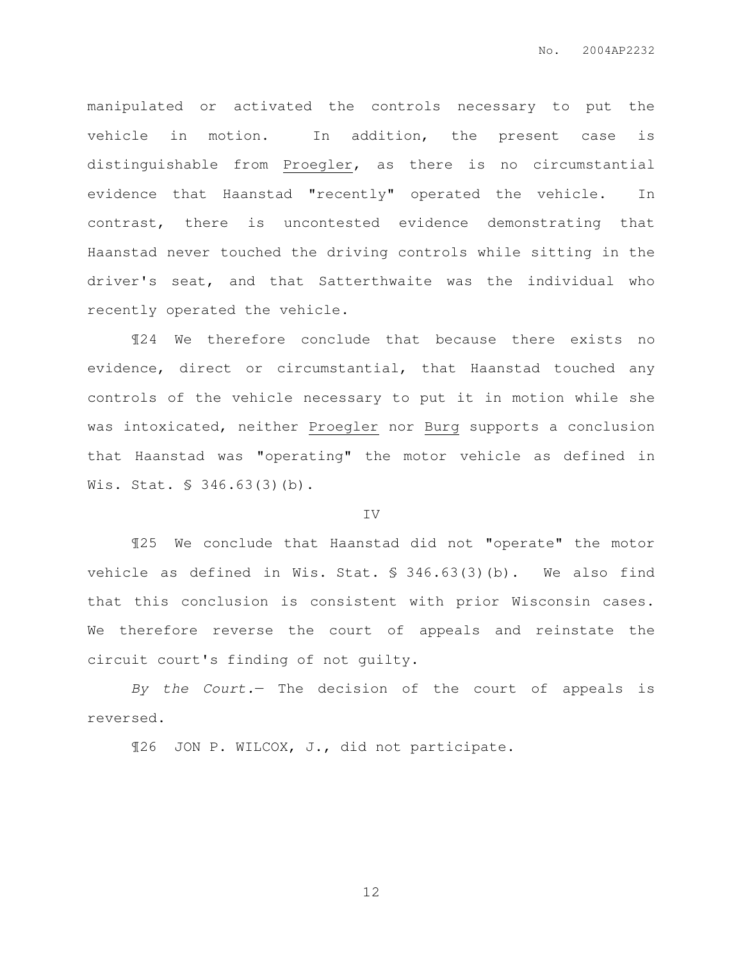manipulated or activated the controls necessary to put the vehicle in motion. In addition, the present case is distinguishable from Proegler, as there is no circumstantial evidence that Haanstad "recently" operated the vehicle. In contrast, there is uncontested evidence demonstrating that Haanstad never touched the driving controls while sitting in the driver's seat, and that Satterthwaite was the individual who recently operated the vehicle.

¶24 We therefore conclude that because there exists no evidence, direct or circumstantial, that Haanstad touched any controls of the vehicle necessary to put it in motion while she was intoxicated, neither Proegler nor Burg supports a conclusion that Haanstad was "operating" the motor vehicle as defined in Wis. Stat. § 346.63(3)(b).

#### IV

¶25 We conclude that Haanstad did not "operate" the motor vehicle as defined in Wis. Stat. § 346.63(3)(b). We also find that this conclusion is consistent with prior Wisconsin cases. We therefore reverse the court of appeals and reinstate the circuit court's finding of not guilty.

By the Court. The decision of the court of appeals is reversed.

¶26 JON P. WILCOX, J., did not participate.